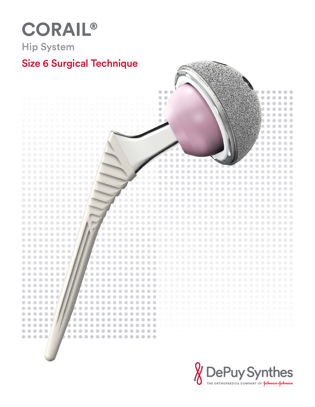# CORAIL® **Hip System**

## Size 6 Surgical Technique



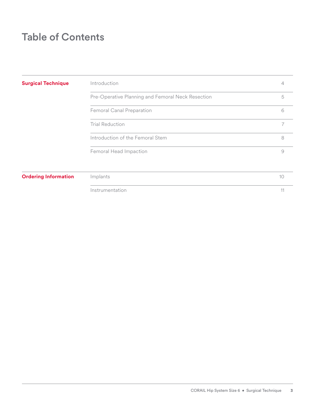### Table of Contents

| <b>Surgical Technique</b>   | Introduction                                      | 4              |
|-----------------------------|---------------------------------------------------|----------------|
|                             | Pre-Operative Planning and Femoral Neck Resection | 5              |
|                             | Femoral Canal Preparation                         | 6              |
|                             | <b>Trial Reduction</b>                            | $\overline{7}$ |
|                             | Introduction of the Femoral Stem                  | 8              |
|                             | Femoral Head Impaction                            | 9              |
| <b>Ordering Information</b> | Implants                                          | 10             |
|                             | Instrumentation                                   | 11             |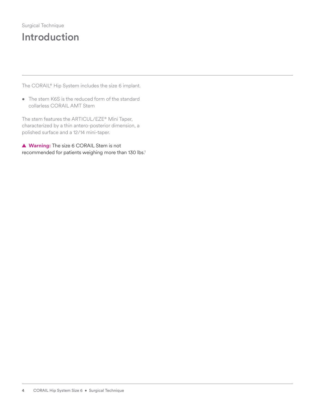### Surgical Technique Introduction

The CORAIL® Hip System includes the size 6 implant.

• The stem K6S is the reduced form of the standard collarless CORAIL AMT Stem

The stem features the ARTICUL/EZE® Mini Taper, characterized by a thin antero-posterior dimension, a polished surface and a 12/14 mini-taper.

**▲ Warning:** The size 6 CORAIL Stem is not recommended for patients weighing more than 130 lbs.<sup>1</sup>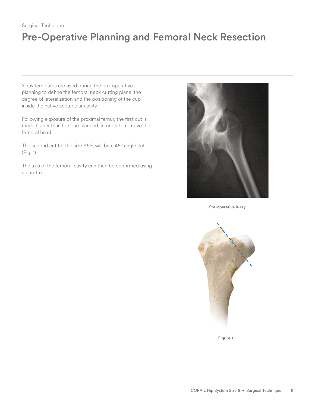#### Surgical Technique

## Pre-Operative Planning and Femoral Neck Resection

X-ray templates are used during the pre-operative planning to define the femoral neck cutting plane, the degree of lateralization and the positioning of the cup inside the native acetabular cavity.

Following exposure of the proximal femur, the first cut is made higher than the one planned, in order to remove the femoral head.

The second cut for the size K6S, will be a 45° angle cut (Fig. 1).

The axis of the femoral cavity can then be confirmed using a curette.



Pre-operative X-ray



**Figure 1.**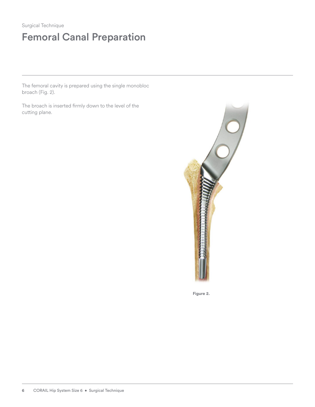## Femoral Canal Preparation

The femoral cavity is prepared using the single monobloc broach (Fig. 2).

The broach is inserted firmly down to the level of the cutting plane.



**Figure 2.**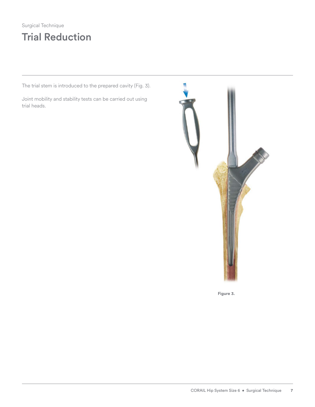### Surgical Technique Trial Reduction

The trial stem is introduced to the prepared cavity (Fig. 3).

Joint mobility and stability tests can be carried out using trial heads.



**Figure 3.**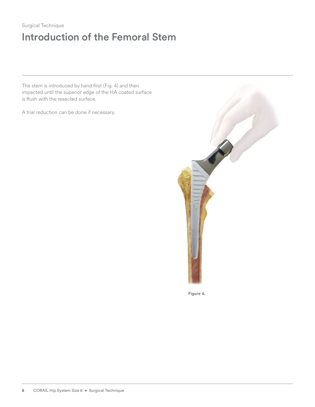### Surgical Technique Introduction of the Femoral Stem

The stem is introduced by hand first (Fig. 4) and then impacted until the superior edge of the HA coated surface is flush with the resected surface.

A trial reduction can be done if necessary.



**Figure 4.**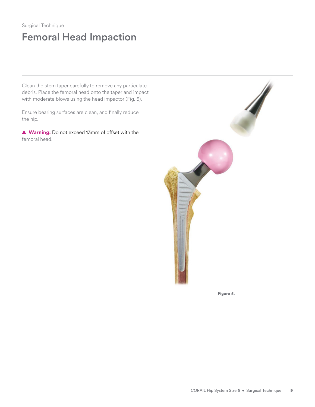### Surgical Technique Femoral Head Impaction

Clean the stem taper carefully to remove any particulate debris. Place the femoral head onto the taper and impact with moderate blows using the head impactor (Fig. 5).

Ensure bearing surfaces are clean, and finally reduce the hip.

**▲ Warning:** Do not exceed 13mm of offset with the femoral head.



**Figure 5.**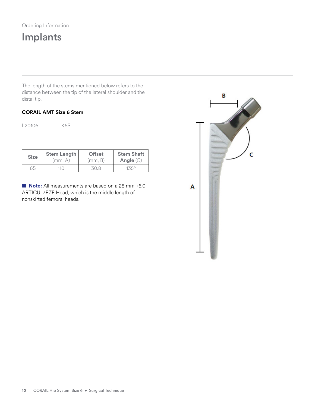## Implants

The length of the stems mentioned below refers to the distance between the tip of the lateral shoulder and the distal tip.

#### **CORAIL AMT Size 6 Stem**

| <b>Size</b>        | <b>Stem Length</b> | <b>Offset</b><br>(mm, B) | <b>Stem Shaft</b><br>Angle (C) |
|--------------------|--------------------|--------------------------|--------------------------------|
|                    |                    |                          |                                |
| L <sub>20106</sub> | K6S                |                          |                                |

■ **Note:** All measurements are based on a 28 mm +5.0 ARTICUL/EZE Head, which is the middle length of nonskirted femoral heads.

6S 110 30.8 135°

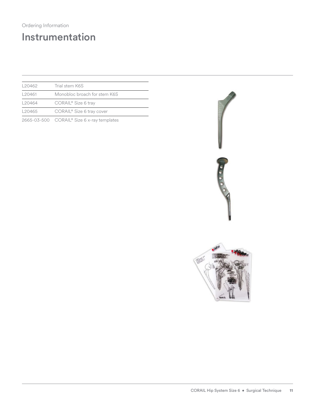### Ordering Information

## Instrumentation

| L20462             | Trial stem K6S                             |  |
|--------------------|--------------------------------------------|--|
| L20461             | Monobloc broach for stem K6S               |  |
| L20464             | CORAIL <sup>®</sup> Size 6 tray            |  |
| L <sub>20465</sub> | CORAIL <sup>®</sup> Size 6 tray cover      |  |
|                    | 2665-03-500 CORAIL® Size 6 x-ray templates |  |